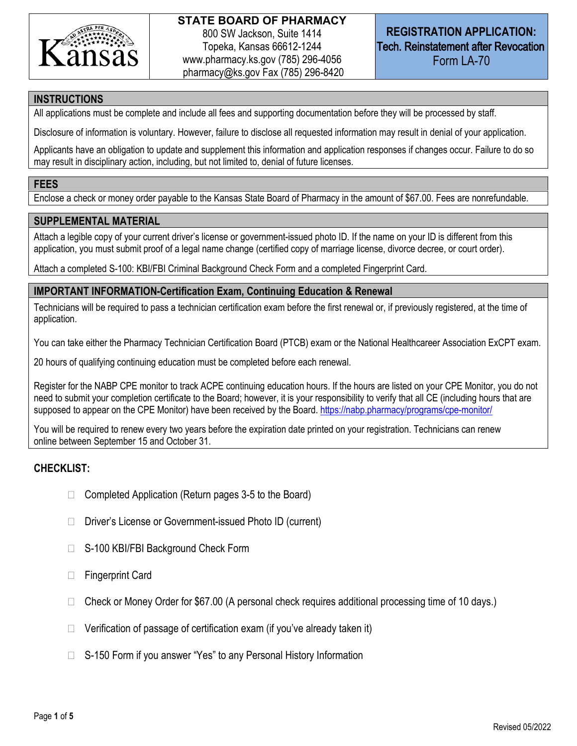

### **STATE BOARD OF PHARMACY** 800 SW Jackson, Suite 1414 Topeka, Kansas 66612-1244 www.pharmacy.ks.gov (785) 296-4056 pharmacy@ks.gov Fax (785) 296-8420

# **REGISTRATION APPLICATION:** Tech. Reinstatement after Revocation Form LA-70

#### **INSTRUCTIONS**

All applications must be complete and include all fees and supporting documentation before they will be processed by staff.

Disclosure of information is voluntary. However, failure to disclose all requested information may result in denial of your application.

Applicants have an obligation to update and supplement this information and application responses if changes occur. Failure to do so may result in disciplinary action, including, but not limited to, denial of future licenses.

#### **FEES**

Enclose a check or money order payable to the Kansas State Board of Pharmacy in the amount of \$67.00. Fees are nonrefundable.

#### **SUPPLEMENTAL MATERIAL**

Attach a legible copy of your current driver's license or government-issued photo ID. If the name on your ID is different from this application, you must submit proof of a legal name change (certified copy of marriage license, divorce decree, or court order).

Attach a completed S-100: KBI/FBI Criminal Background Check Form and a completed Fingerprint Card.

#### **IMPORTANT INFORMATION-Certification Exam, Continuing Education & Renewal**

Technicians will be required to pass a technician certification exam before the first renewal or, if previously registered, at the time of application.

You can take either the Pharmacy Technician Certification Board (PTCB) exam or the National Healthcareer Association ExCPT exam.

20 hours of qualifying continuing education must be completed before each renewal.

Register for the NABP CPE monitor to track ACPE continuing education hours. If the hours are listed on your CPE Monitor, you do not need to submit your completion certificate to the Board; however, it is your responsibility to verify that all CE (including hours that are supposed to appear on the CPE Monitor) have been received by the Board. https://nabp.pharmacy/programs/cpe-monitor/

You will be required to renew every two years before the expiration date printed on your registration. Technicians can renew online between September 15 and October 31.

#### **CHECKLIST:**

- $\Box$  Completed Application (Return pages 3-5 to the Board)
- □ Driver's License or Government-issued Photo ID (current)
- □ S-100 KBI/FBI Background Check Form
- □ Fingerprint Card
- $\Box$  Check or Money Order for \$67.00 (A personal check requires additional processing time of 10 days.)
- $\Box$  Verification of passage of certification exam (if you've already taken it)
- $\Box$  S-150 Form if you answer "Yes" to any Personal History Information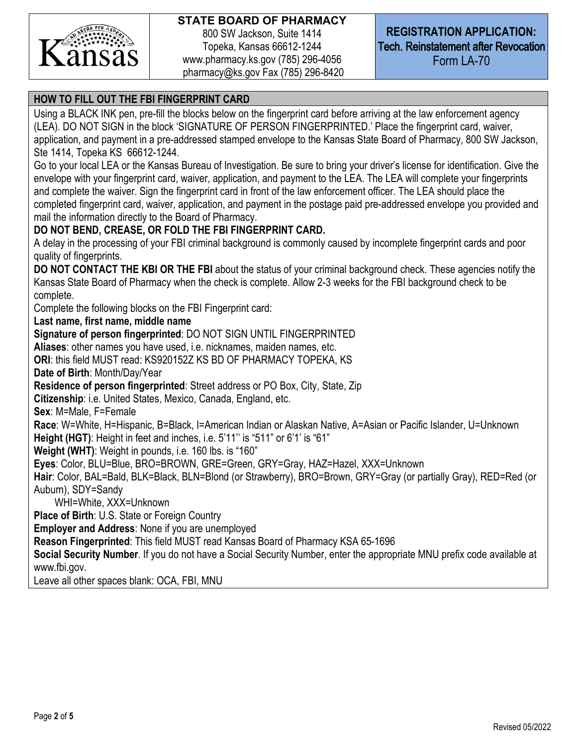

# **STATE BOARD OF PHARMACY** 800 SW Jackson, Suite 1414 Topeka, Kansas 66612-1244 www.pharmacy.ks.gov (785) 296-4056

pharmacy@ks.gov Fax (785) 296-8420

# **HOW TO FILL OUT THE FBI FINGERPRINT CARD**

Using a BLACK INK pen, pre-fill the blocks below on the fingerprint card before arriving at the law enforcement agency (LEA). DO NOT SIGN in the block 'SIGNATURE OF PERSON FINGERPRINTED.' Place the fingerprint card, waiver, application, and payment in a pre-addressed stamped envelope to the Kansas State Board of Pharmacy, 800 SW Jackson, Ste 1414, Topeka KS 66612-1244.

Go to your local LEA or the Kansas Bureau of Investigation. Be sure to bring your driver's license for identification. Give the envelope with your fingerprint card, waiver, application, and payment to the LEA. The LEA will complete your fingerprints and complete the waiver. Sign the fingerprint card in front of the law enforcement officer. The LEA should place the completed fingerprint card, waiver, application, and payment in the postage paid pre-addressed envelope you provided and mail the information directly to the Board of Pharmacy.

### **DO NOT BEND, CREASE, OR FOLD THE FBI FINGERPRINT CARD.**

A delay in the processing of your FBI criminal background is commonly caused by incomplete fingerprint cards and poor quality of fingerprints.

**DO NOT CONTACT THE KBI OR THE FBI** about the status of your criminal background check. These agencies notify the Kansas State Board of Pharmacy when the check is complete. Allow 2-3 weeks for the FBI background check to be complete.

Complete the following blocks on the FBI Fingerprint card:

**Last name, first name, middle name** 

**Signature of person fingerprinted**: DO NOT SIGN UNTIL FINGERPRINTED

**Aliases**: other names you have used, i.e. nicknames, maiden names, etc.

**ORI**: this field MUST read: KS920152Z KS BD OF PHARMACY TOPEKA, KS

**Date of Birth**: Month/Day/Year

**Residence of person fingerprinted**: Street address or PO Box, City, State, Zip

**Citizenship**: i.e. United States, Mexico, Canada, England, etc.

**Sex**: M=Male, F=Female

**Race**: W=White, H=Hispanic, B=Black, I=American Indian or Alaskan Native, A=Asian or Pacific Islander, U=Unknown **Height (HGT)**: Height in feet and inches, i.e. 5'11'' is "511" or 6'1' is "61"

**Weight (WHT)**: Weight in pounds, i.e. 160 lbs. is "160"

**Eyes**: Color, BLU=Blue, BRO=BROWN, GRE=Green, GRY=Gray, HAZ=Hazel, XXX=Unknown

**Hair**: Color, BAL=Bald, BLK=Black, BLN=Blond (or Strawberry), BRO=Brown, GRY=Gray (or partially Gray), RED=Red (or Auburn), SDY=Sandy

WHI=White, XXX=Unknown

**Place of Birth**: U.S. State or Foreign Country

**Employer and Address**: None if you are unemployed

**Reason Fingerprinted**: This field MUST read Kansas Board of Pharmacy KSA 65-1696

**Social Security Number**. If you do not have a Social Security Number, enter the appropriate MNU prefix code available at www.fbi.gov.

Leave all other spaces blank: OCA, FBI, MNU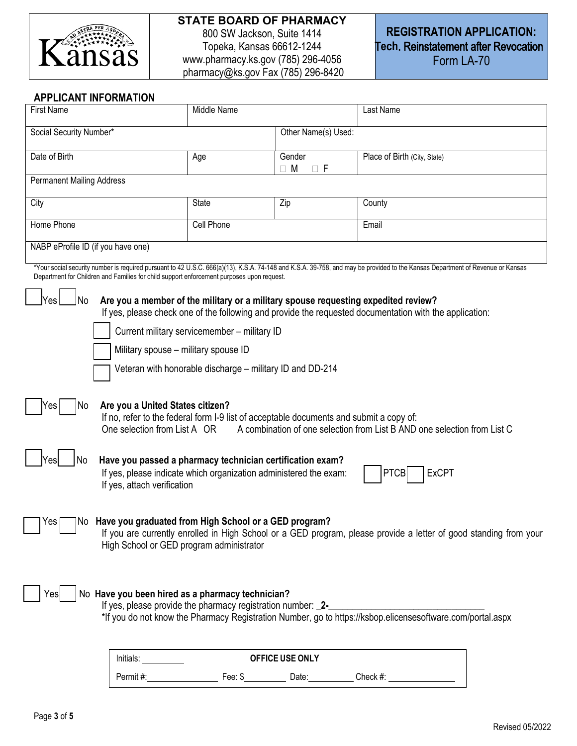

# **STATE BOARD OF PHARMACY**

800 SW Jackson, Suite 1414 Topeka, Kansas 66612-1244 www.pharmacy.ks.gov (785) 296-4056 pharmacy@ks.gov Fax (785) 296-8420

#### **APPLICANT INFORMATION**

| <b>First Name</b>                                                                                                                                                                                                                                                          | Middle Name |                         | Last Name                                                                                               |  |  |  |  |
|----------------------------------------------------------------------------------------------------------------------------------------------------------------------------------------------------------------------------------------------------------------------------|-------------|-------------------------|---------------------------------------------------------------------------------------------------------|--|--|--|--|
| Social Security Number*                                                                                                                                                                                                                                                    |             | Other Name(s) Used:     |                                                                                                         |  |  |  |  |
| Date of Birth                                                                                                                                                                                                                                                              | Age         | Gender<br>M<br>$\Box$ F | Place of Birth (City, State)                                                                            |  |  |  |  |
| <b>Permanent Mailing Address</b>                                                                                                                                                                                                                                           |             |                         |                                                                                                         |  |  |  |  |
| City                                                                                                                                                                                                                                                                       | State       | Zip                     | County                                                                                                  |  |  |  |  |
| Home Phone                                                                                                                                                                                                                                                                 | Cell Phone  |                         | Email                                                                                                   |  |  |  |  |
| NABP eProfile ID (if you have one)                                                                                                                                                                                                                                         |             |                         |                                                                                                         |  |  |  |  |
| *Your social security number is required pursuant to 42 U.S.C. 666(a)(13), K.S.A. 74-148 and K.S.A. 39-758, and may be provided to the Kansas Department of Revenue or Kansas<br>Department for Children and Families for child support enforcement purposes upon request. |             |                         |                                                                                                         |  |  |  |  |
| <b>No</b><br>Are you a member of the military or a military spouse requesting expedited review?<br>Yes.                                                                                                                                                                    |             |                         |                                                                                                         |  |  |  |  |
|                                                                                                                                                                                                                                                                            |             |                         | If yes, please check one of the following and provide the requested documentation with the application: |  |  |  |  |
| Current military servicemember - military ID                                                                                                                                                                                                                               |             |                         |                                                                                                         |  |  |  |  |
| Military spouse - military spouse ID                                                                                                                                                                                                                                       |             |                         |                                                                                                         |  |  |  |  |
| Veteran with honorable discharge – military ID and DD-214                                                                                                                                                                                                                  |             |                         |                                                                                                         |  |  |  |  |
| Are you a United States citizen?<br>No<br>Yes<br>If no, refer to the federal form I-9 list of acceptable documents and submit a copy of:<br>One selection from List A OR<br>A combination of one selection from List B AND one selection from List C                       |             |                         |                                                                                                         |  |  |  |  |
| No<br>Have you passed a pharmacy technician certification exam?<br><b>ExCPT</b><br>If yes, please indicate which organization administered the exam:<br><b>PTCB</b><br>If yes, attach verification                                                                         |             |                         |                                                                                                         |  |  |  |  |
| ]No Have you graduated from High School or a GED program?<br>Yes<br>If you are currently enrolled in High School or a GED program, please provide a letter of good standing from your<br>High School or GED program administrator                                          |             |                         |                                                                                                         |  |  |  |  |
| No Have you been hired as a pharmacy technician?<br>Yes<br>If yes, please provide the pharmacy registration number: _2-<br>*If you do not know the Pharmacy Registration Number, go to https://ksbop.elicensesoftware.com/portal.aspx                                      |             |                         |                                                                                                         |  |  |  |  |
| Initials:                                                                                                                                                                                                                                                                  |             | OFFICE USE ONLY         |                                                                                                         |  |  |  |  |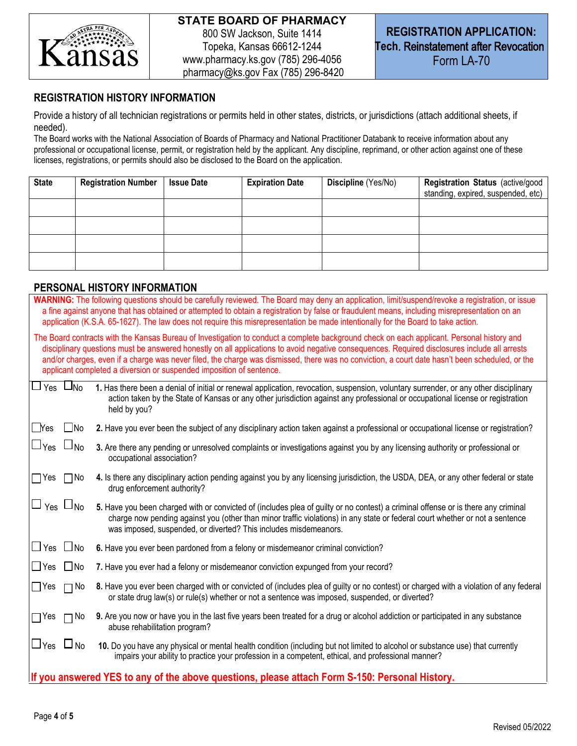

### **STATE BOARD OF PHARMACY** 800 SW Jackson, Suite 1414 Topeka, Kansas 66612-1244 www.pharmacy.ks.gov (785) 296-4056 pharmacy@ks.gov Fax (785) 296-8420

#### **REGISTRATION HISTORY INFORMATION**

Provide a history of all technician registrations or permits held in other states, districts, or jurisdictions (attach additional sheets, if needed).

The Board works with the National Association of Boards of Pharmacy and National Practitioner Databank to receive information about any professional or occupational license, permit, or registration held by the applicant. Any discipline, reprimand, or other action against one of these licenses, registrations, or permits should also be disclosed to the Board on the application.

| <b>State</b> | <b>Registration Number</b> | <b>Issue Date</b> | <b>Expiration Date</b> | Discipline (Yes/No) | Registration Status (active/good<br>standing, expired, suspended, etc) |
|--------------|----------------------------|-------------------|------------------------|---------------------|------------------------------------------------------------------------|
|              |                            |                   |                        |                     |                                                                        |
|              |                            |                   |                        |                     |                                                                        |
|              |                            |                   |                        |                     |                                                                        |
|              |                            |                   |                        |                     |                                                                        |

### **PERSONAL HISTORY INFORMATION**

| ו בושטואוט וויון ואוטוויון באזוטטא                                                                                                                                                                                                                                                                                                                                                                                                                                                                                     |
|------------------------------------------------------------------------------------------------------------------------------------------------------------------------------------------------------------------------------------------------------------------------------------------------------------------------------------------------------------------------------------------------------------------------------------------------------------------------------------------------------------------------|
| WARNING: The following questions should be carefully reviewed. The Board may deny an application, limit/suspend/revoke a registration, or issue<br>a fine against anyone that has obtained or attempted to obtain a registration by false or fraudulent means, including misrepresentation on an<br>application (K.S.A. 65-1627). The law does not require this misrepresentation be made intentionally for the Board to take action.                                                                                  |
| The Board contracts with the Kansas Bureau of Investigation to conduct a complete background check on each applicant. Personal history and<br>disciplinary questions must be answered honestly on all applications to avoid negative consequences. Required disclosures include all arrests<br>and/or charges, even if a charge was never filed, the charge was dismissed, there was no conviction, a court date hasn't been scheduled, or the<br>applicant completed a diversion or suspended imposition of sentence. |
| $\Box$ Yes $\Box$ No<br>1. Has there been a denial of initial or renewal application, revocation, suspension, voluntary surrender, or any other disciplinary<br>action taken by the State of Kansas or any other jurisdiction against any professional or occupational license or registration<br>held by you?                                                                                                                                                                                                         |
| $\Box$ No<br>$\mathsf{\mathsf{Nes}}$<br>2. Have you ever been the subject of any disciplinary action taken against a professional or occupational license or registration?                                                                                                                                                                                                                                                                                                                                             |
| $\Box_{\text{No}}$<br>$\sqcup$ Yes<br>3. Are there any pending or unresolved complaints or investigations against you by any licensing authority or professional or<br>occupational association?                                                                                                                                                                                                                                                                                                                       |
| 4. Is there any disciplinary action pending against you by any licensing jurisdiction, the USDA, DEA, or any other federal or state<br>∃Yes<br>$\square$ No<br>drug enforcement authority?                                                                                                                                                                                                                                                                                                                             |
| $\Box$ $\gamma$ <sub>es</sub> $\Box$ <sub>No</sub><br>5. Have you been charged with or convicted of (includes plea of guilty or no contest) a criminal offense or is there any criminal<br>charge now pending against you (other than minor traffic violations) in any state or federal court whether or not a sentence<br>was imposed, suspended, or diverted? This includes misdemeanors.                                                                                                                            |
| $\Box$ Yes<br>$\Box$ No<br>6. Have you ever been pardoned from a felony or misdemeanor criminal conviction?                                                                                                                                                                                                                                                                                                                                                                                                            |
| $\square$ Yes<br>$\Box$ No<br>7. Have you ever had a felony or misdemeanor conviction expunged from your record?                                                                                                                                                                                                                                                                                                                                                                                                       |
| 8. Have you ever been charged with or convicted of (includes plea of guilty or no contest) or charged with a violation of any federal<br>$\Box$ Yes<br>$\Box$ No<br>or state drug law(s) or rule(s) whether or not a sentence was imposed, suspended, or diverted?                                                                                                                                                                                                                                                     |
| 9. Are you now or have you in the last five years been treated for a drug or alcohol addiction or participated in any substance<br>$\Box$ Yes<br>$\Box$ No<br>abuse rehabilitation program?                                                                                                                                                                                                                                                                                                                            |
| $\Box$ Yes $\Box$ No<br>10. Do you have any physical or mental health condition (including but not limited to alcohol or substance use) that currently<br>impairs your ability to practice your profession in a competent, ethical, and professional manner?                                                                                                                                                                                                                                                           |
| If you answered YES to any of the above questions, please attach Form S-150: Personal History.                                                                                                                                                                                                                                                                                                                                                                                                                         |